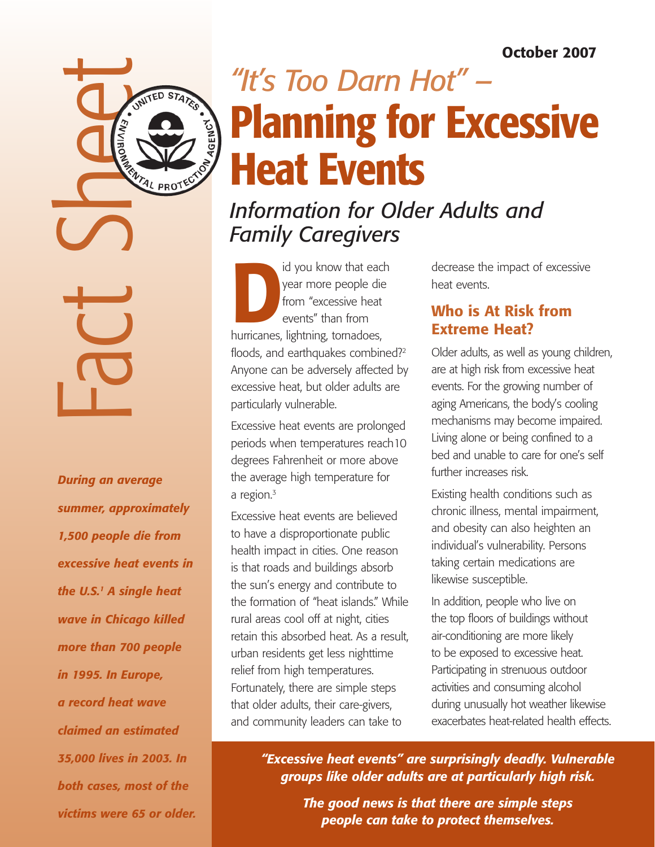# October 2007



Fact Sheet

*During an average summer, approximately 1,500 people die from excessive heat events in the U.S.1 A single heat wave in Chicago killed more than 700 people in 1995. In Europe, a record heat wave claimed an estimated 35,000 lives in 2003. In both cases, most of the victims were 65 or older.*

# *"It's Too Darn Hot" –* Planning for Excessive Heat Events

# *Information for Older Adults and Family Caregivers*

id you know that each<br>
year more people die<br>
from "excessive heat<br>
events" than from<br>
hurricanes, lightning, tornadoes, year more people die from "excessive heat events" than from floods, and earthquakes combined?<sup>2</sup> Anyone can be adversely affected by excessive heat, but older adults are particularly vulnerable.

Excessive heat events are prolonged periods when temperatures reach10 degrees Fahrenheit or more above the average high temperature for a region.<sup>3</sup>

Excessive heat events are believed to have a disproportionate public health impact in cities. One reason is that roads and buildings absorb the sun's energy and contribute to the formation of "heat islands." While rural areas cool off at night, cities retain this absorbed heat. As a result, urban residents get less nighttime relief from high temperatures. Fortunately, there are simple steps that older adults, their care-givers, and community leaders can take to

decrease the impact of excessive heat events.

# Who is At Risk from Extreme Heat?

Older adults, as well as young children, are at high risk from excessive heat events. For the growing number of aging Americans, the body's cooling mechanisms may become impaired. Living alone or being confined to a bed and unable to care for one's self further increases risk.

Existing health conditions such as chronic illness, mental impairment, and obesity can also heighten an individual's vulnerability. Persons taking certain medications are likewise susceptible.

In addition, people who live on the top floors of buildings without air-conditioning are more likely to be exposed to excessive heat. Participating in strenuous outdoor activities and consuming alcohol during unusually hot weather likewise exacerbates heat-related health effects.

*"Excessive heat events" are surprisingly deadly. Vulnerable groups like older adults are at particularly high risk.*

> *The good news is that there are simple steps people can take to protect themselves.*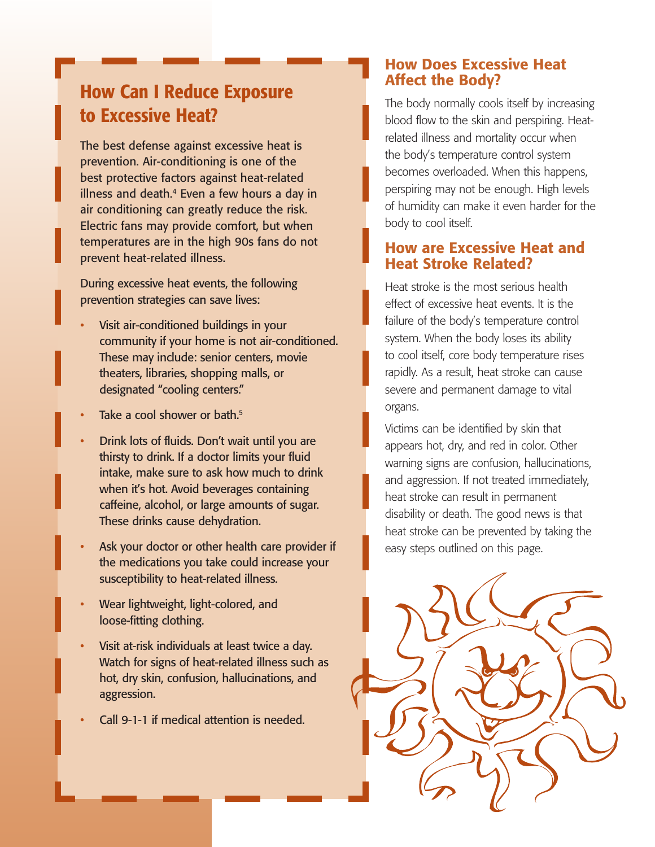# How Can I Reduce Exposure to Excessive Heat?

The best defense against excessive heat is prevention. Air-conditioning is one of the best protective factors against heat-related illness and death.<sup>4</sup> Even a few hours a day in air conditioning can greatly reduce the risk. Electric fans may provide comfort, but when temperatures are in the high 90s fans do not prevent heat-related illness.

During excessive heat events, the following prevention strategies can save lives:

- Visit air-conditioned buildings in your community if your home is not air-conditioned. These may include: senior centers, movie theaters, libraries, shopping malls, or designated "cooling centers."
- Take a cool shower or bath.<sup>5</sup>
- Drink lots of fluids. Don't wait until you are thirsty to drink. If a doctor limits your fluid intake, make sure to ask how much to drink when it's hot. Avoid beverages containing caffeine, alcohol, or large amounts of sugar. These drinks cause dehydration.
- Ask your doctor or other health care provider if the medications you take could increase your susceptibility to heat-related illness.
- Wear lightweight, light-colored, and loose-fitting clothing.
- Visit at-risk individuals at least twice a day. Watch for signs of heat-related illness such as hot, dry skin, confusion, hallucinations, and aggression.
- Call 9-1-1 if medical attention is needed.

# How Does Excessive Heat Affect the Body?

The body normally cools itself by increasing blood flow to the skin and perspiring. Heatrelated illness and mortality occur when the body's temperature control system becomes overloaded. When this happens, perspiring may not be enough. High levels of humidity can make it even harder for the body to cool itself.

# How are Excessive Heat and Heat Stroke Related?

Heat stroke is the most serious health effect of excessive heat events. It is the failure of the body's temperature control system. When the body loses its ability to cool itself, core body temperature rises rapidly. As a result, heat stroke can cause severe and permanent damage to vital organs.

Victims can be identified by skin that appears hot, dry, and red in color. Other warning signs are confusion, hallucinations, and aggression. If not treated immediately, heat stroke can result in permanent disability or death. The good news is that heat stroke can be prevented by taking the easy steps outlined on this page.

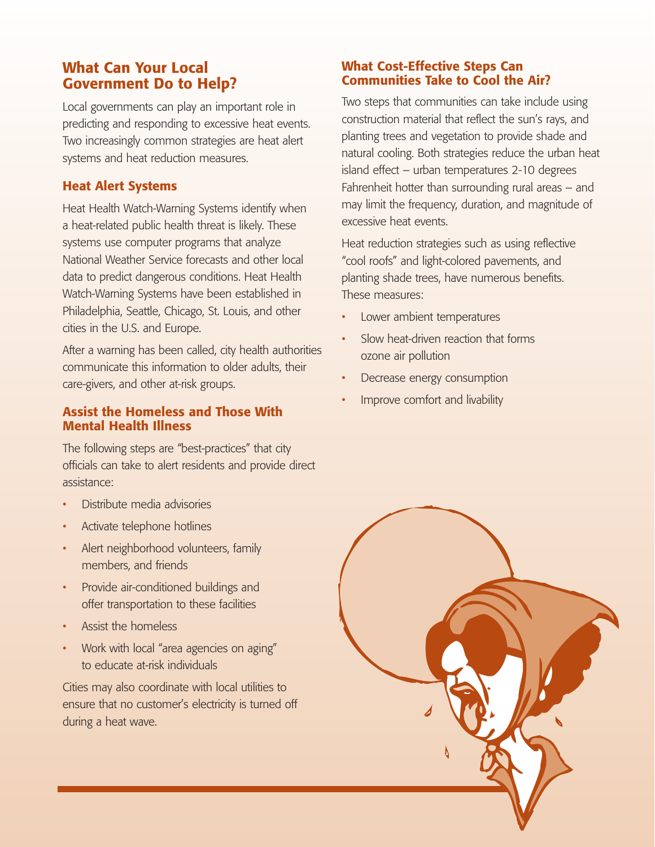# What Can Your Local Government Do to Help?

Local governments can play an important role in predicting and responding to excessive heat events. Two increasingly common strategies are heat alert systems and heat reduction measures.

#### Heat Alert Systems

Heat Health Watch-Warning Systems identify when a heat-related public health threat is likely. These systems use computer programs that analyze National Weather Service forecasts and other local data to predict dangerous conditions. Heat Health Watch-Warning Systems have been established in Philadelphia, Seattle, Chicago, St. Louis, and other cities in the U.S. and Europe.

After a warning has been called, city health authorities communicate this information to older adults, their care-givers, and other at-risk groups.

#### Assist the Homeless and Those With Mental Health Illness

The following steps are "best-practices" that city officials can take to alert residents and provide direct assistance:

- Distribute media advisories
- Activate telephone hotlines
- Alert neighborhood volunteers, family members, and friends
- Provide air-conditioned buildings and offer transportation to these facilities
- Assist the homeless
- Work with local "area agencies on aging" to educate at-risk individuals

Cities may also coordinate with local utilities to ensure that no customer's electricity is turned off during a heat wave.

#### What Cost-Effective Steps Can Communities Take to Cool the Air?

Two steps that communities can take include using construction material that reflect the sun's rays, and planting trees and vegetation to provide shade and natural cooling. Both strategies reduce the urban heat island effect – urban temperatures 2-10 degrees Fahrenheit hotter than surrounding rural areas – and may limit the frequency, duration, and magnitude of excessive heat events.

Heat reduction strategies such as using reflective "cool roofs" and light-colored pavements, and planting shade trees, have numerous benefits. These measures:

- Lower ambient temperatures
- Slow heat-driven reaction that forms ozone air pollution
- Decrease energy consumption
- Improve comfort and livability